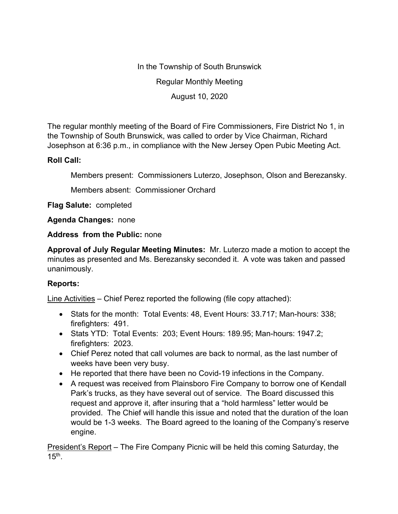In the Township of South Brunswick Regular Monthly Meeting

August 10, 2020

The regular monthly meeting of the Board of Fire Commissioners, Fire District No 1, in the Township of South Brunswick, was called to order by Vice Chairman, Richard Josephson at 6:36 p.m., in compliance with the New Jersey Open Pubic Meeting Act.

## **Roll Call:**

Members present: Commissioners Luterzo, Josephson, Olson and Berezansky.

Members absent: Commissioner Orchard

**Flag Salute:** completed

**Agenda Changes:** none

**Address from the Public:** none

**Approval of July Regular Meeting Minutes:** Mr. Luterzo made a motion to accept the minutes as presented and Ms. Berezansky seconded it. A vote was taken and passed unanimously.

## **Reports:**

Line Activities – Chief Perez reported the following (file copy attached):

- Stats for the month: Total Events: 48, Event Hours: 33.717; Man-hours: 338; firefighters: 491.
- Stats YTD: Total Events: 203; Event Hours: 189.95; Man-hours: 1947.2; firefighters: 2023.
- Chief Perez noted that call volumes are back to normal, as the last number of weeks have been very busy.
- He reported that there have been no Covid-19 infections in the Company.
- A request was received from Plainsboro Fire Company to borrow one of Kendall Park's trucks, as they have several out of service. The Board discussed this request and approve it, after insuring that a "hold harmless" letter would be provided. The Chief will handle this issue and noted that the duration of the loan would be 1-3 weeks. The Board agreed to the loaning of the Company's reserve engine.

President's Report – The Fire Company Picnic will be held this coming Saturday, the  $15<sup>th</sup>$ .